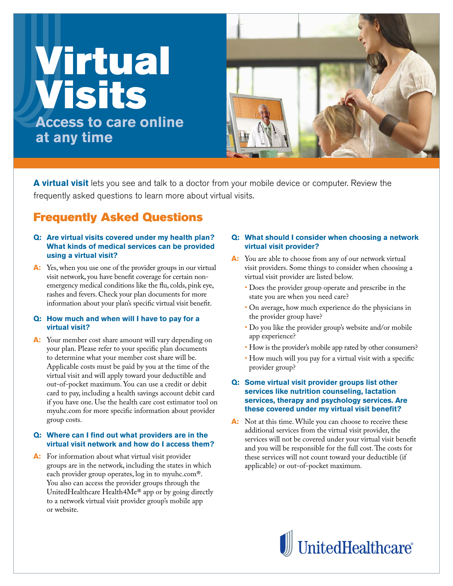# Virtual Visits **Access to care online at any time**



**A virtual visit** lets you see and talk to a doctor from your mobile device or computer. Review the frequently asked questions to learn more about virtual visits.

# Frequently Asked Questions

## **QQ: Are virtual visits covered under my health plan? What kinds of medical services can be provided using a virtual visit?**

A: Yes, when you use one of the provider groups in our virtual visit network, you have benefit coverage for certain nonemergency medical conditions like the flu, colds, pink eye, rashes and fevers. Check your plan documents for more information about your plan's specific virtual visit benefit.

## **QQ: How much and when will I have to pay for a virtual visit?**

A: Your member cost share amount will vary depending on your plan. Please refer to your specific plan documents to determine what your member cost share will be. Applicable costs must be paid by you at the time of the virtual visit and will apply toward your deductible and out-of-pocket maximum. You can use a credit or debit card to pay, including a health savings account debit card if you have one. Use the health care cost estimator tool on myuhc.com for more specific information about provider group costs.

#### **QQ: Where can I find out what providers are in the virtual visit network and how do I access them?**

**A:** For information about what virtual visit provider groups are in the network, including the states in which each provider group operates, log in to myuhc.com®. You also can access the provider groups through the UnitedHealthcare Health4Me® app or by going directly to a network virtual visit provider group's mobile app or website.

# **QQ: What should I consider when choosing a network virtual visit provider?**

- **AA:** You are able to choose from any of our network virtual visit providers. Some things to consider when choosing a virtual visit provider are listed below.
	- Does the provider group operate and prescribe in the state you are when you need care?
	- On average, how much experience do the physicians in the provider group have?
	- Do you like the provider group's website and/or mobile app experience?
	- How is the provider's mobile app rated by other consumers?
	- How much will you pay for a virtual visit with a specific provider group?

# **QQ: Some virtual visit provider groups list other services like nutrition counseling, lactation services, therapy and psychology services. Are these covered under my virtual visit benefit?**

A: Not at this time. While you can choose to receive these additional services from the virtual visit provider, the services will not be covered under your virtual visit benefit and you will be responsible for the full cost. The costs for these services will not count toward your deductible (if applicable) or out-of-pocket maximum.